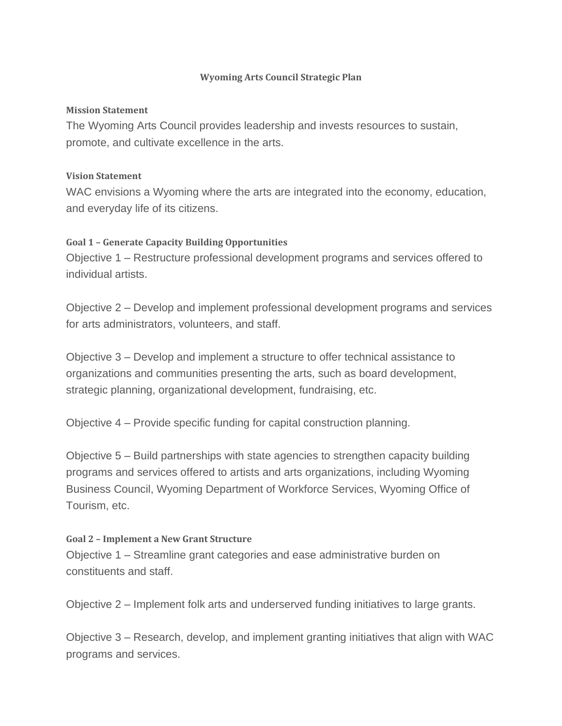#### **Wyoming Arts Council Strategic Plan**

#### **Mission Statement**

The Wyoming Arts Council provides leadership and invests resources to sustain, promote, and cultivate excellence in the arts.

### **Vision Statement**

WAC envisions a Wyoming where the arts are integrated into the economy, education, and everyday life of its citizens.

# **Goal 1 – Generate Capacity Building Opportunities**

Objective 1 – Restructure professional development programs and services offered to individual artists.

Objective 2 – Develop and implement professional development programs and services for arts administrators, volunteers, and staff.

Objective 3 – Develop and implement a structure to offer technical assistance to organizations and communities presenting the arts, such as board development, strategic planning, organizational development, fundraising, etc.

Objective 4 – Provide specific funding for capital construction planning.

Objective 5 – Build partnerships with state agencies to strengthen capacity building programs and services offered to artists and arts organizations, including Wyoming Business Council, Wyoming Department of Workforce Services, Wyoming Office of Tourism, etc.

# **Goal 2 – Implement a New Grant Structure**

Objective 1 – Streamline grant categories and ease administrative burden on constituents and staff.

Objective 2 – Implement folk arts and underserved funding initiatives to large grants.

Objective 3 – Research, develop, and implement granting initiatives that align with WAC programs and services.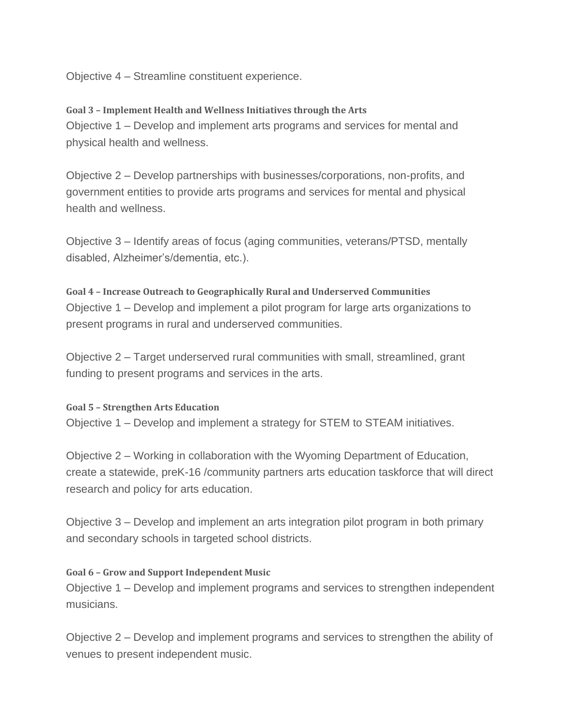Objective 4 – Streamline constituent experience.

## **Goal 3 – Implement Health and Wellness Initiatives through the Arts**

Objective 1 – Develop and implement arts programs and services for mental and physical health and wellness.

Objective 2 – Develop partnerships with businesses/corporations, non-profits, and government entities to provide arts programs and services for mental and physical health and wellness.

Objective 3 – Identify areas of focus (aging communities, veterans/PTSD, mentally disabled, Alzheimer's/dementia, etc.).

**Goal 4 – Increase Outreach to Geographically Rural and Underserved Communities** Objective 1 – Develop and implement a pilot program for large arts organizations to present programs in rural and underserved communities.

Objective 2 – Target underserved rural communities with small, streamlined, grant funding to present programs and services in the arts.

#### **Goal 5 – Strengthen Arts Education**

Objective 1 – Develop and implement a strategy for STEM to STEAM initiatives.

Objective 2 – Working in collaboration with the Wyoming Department of Education, create a statewide, preK-16 /community partners arts education taskforce that will direct research and policy for arts education.

Objective 3 – Develop and implement an arts integration pilot program in both primary and secondary schools in targeted school districts.

# **Goal 6 – Grow and Support Independent Music**

Objective 1 – Develop and implement programs and services to strengthen independent musicians.

Objective 2 – Develop and implement programs and services to strengthen the ability of venues to present independent music.